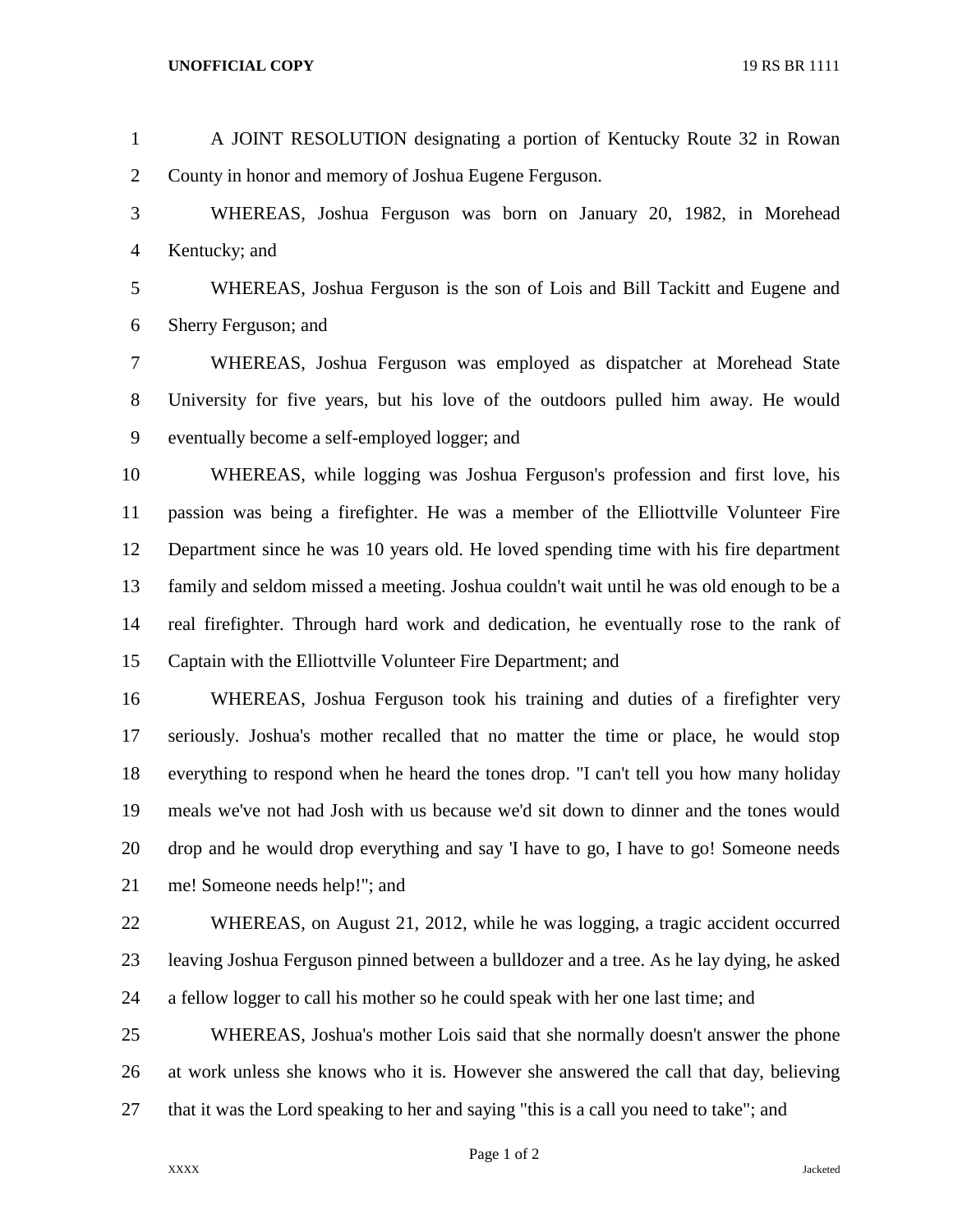| $\mathbf{1}$   | A JOINT RESOLUTION designating a portion of Kentucky Route 32 in Rowan                   |
|----------------|------------------------------------------------------------------------------------------|
| $\overline{2}$ | County in honor and memory of Joshua Eugene Ferguson.                                    |
| 3              | WHEREAS, Joshua Ferguson was born on January 20, 1982, in Morehead                       |
| $\overline{4}$ | Kentucky; and                                                                            |
| 5              | WHEREAS, Joshua Ferguson is the son of Lois and Bill Tackitt and Eugene and              |
| 6              | Sherry Ferguson; and                                                                     |
| 7              | WHEREAS, Joshua Ferguson was employed as dispatcher at Morehead State                    |
| 8              | University for five years, but his love of the outdoors pulled him away. He would        |
| 9              | eventually become a self-employed logger; and                                            |
| 10             | WHEREAS, while logging was Joshua Ferguson's profession and first love, his              |
| 11             | passion was being a firefighter. He was a member of the Elliottville Volunteer Fire      |
| 12             | Department since he was 10 years old. He loved spending time with his fire department    |
| 13             | family and seldom missed a meeting. Joshua couldn't wait until he was old enough to be a |
| 14             | real firefighter. Through hard work and dedication, he eventually rose to the rank of    |
| 15             | Captain with the Elliottville Volunteer Fire Department; and                             |
| 16             | WHEREAS, Joshua Ferguson took his training and duties of a fire fighter very             |
| 17             | seriously. Joshua's mother recalled that no matter the time or place, he would stop      |
| 18             | everything to respond when he heard the tones drop. "I can't tell you how many holiday   |
| 19             | meals we've not had Josh with us because we'd sit down to dinner and the tones would     |
| 20             | drop and he would drop everything and say T have to go, I have to go! Someone needs      |
| 21             | me! Someone needs help!"; and                                                            |
| 22             | WHEREAS, on August 21, 2012, while he was logging, a tragic accident occurred            |
| 23             | leaving Joshua Ferguson pinned between a bulldozer and a tree. As he lay dying, he asked |
| 24             | a fellow logger to call his mother so he could speak with her one last time; and         |
|                |                                                                                          |

 WHEREAS, Joshua's mother Lois said that she normally doesn't answer the phone at work unless she knows who it is. However she answered the call that day, believing that it was the Lord speaking to her and saying "this is a call you need to take"; and

Page 1 of 2